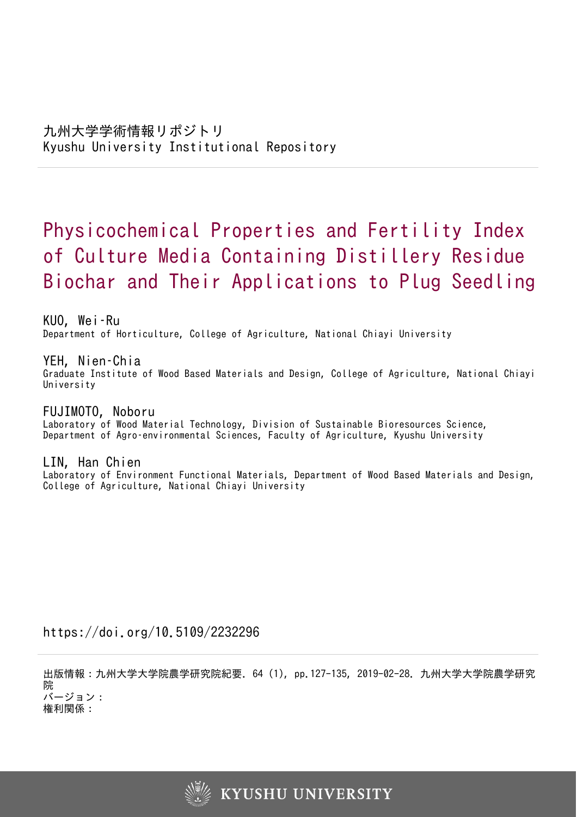# Physicochemical Properties and Fertility Index of Culture Media Containing Distillery Residue Biochar and Their Applications to Plug Seedling

KUO, Wei–Ru Department of Horticulture, College of Agriculture, National Chiayi University

YEH, Nien–Chia Graduate Institute of Wood Based Materials and Design, College of Agriculture, National Chiayi University

FUJIMOTO, Noboru Laboratory of Wood Material Technology, Division of Sustainable Bioresources Science, Department of Agro–environmental Sciences, Faculty of Agriculture, Kyushu University

LIN, Han Chien Laboratory of Environment Functional Materials, Department of Wood Based Materials and Design, College of Agriculture, National Chiayi University

https://doi.org/10.5109/2232296

出版情報:九州大学大学院農学研究院紀要. 64 (1), pp.127-135, 2019-02-28. 九州大学大学院農学研究 院 バージョン:

権利関係:

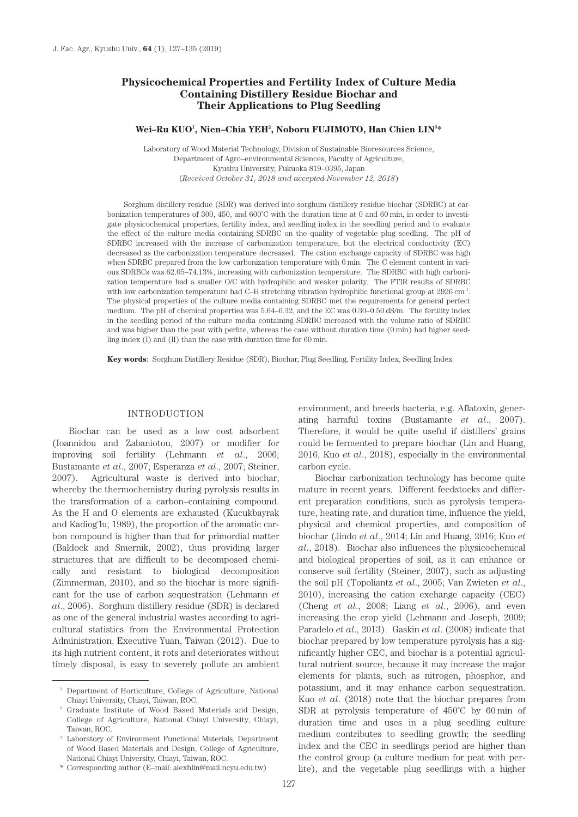# **Physicochemical Properties and Fertility Index of Culture Media Containing Distillery Residue Biochar and Their Applications to Plug Seedling**

#### **Wei–Ru KUO1 , Nien–Chia YEH2 , Noboru FUJIMOTO, Han Chien LIN3 \***

Laboratory of Wood Material Technology, Division of Sustainable Bioresources Science, Department of Agro–environmental Sciences, Faculty of Agriculture, Kyushu University, Fukuoka 819–0395, Japan (*Received October 31, 2018 and accepted November 12, 2018*)

Sorghum distillery residue (SDR) was derived into sorghum distillery residue biochar (SDRBC) at carbonization temperatures of 300, 450, and 600˚C with the duration time at 0 and 60 min, in order to investigate physicochemical properties, fertility index, and seedling index in the seedling period and to evaluate the effect of the culture media containing SDRBC on the quality of vegetable plug seedling. The pH of SDRBC increased with the increase of carbonization temperature, but the electrical conductivity (EC) decreased as the carbonization temperature decreased. The cation exchange capacity of SDRBC was high when SDRBC prepared from the low carbonization temperature with 0 min. The C element content in various SDRBCs was 62.05–74.13%, increasing with carbonization temperature. The SDRBC with high carbonization temperature had a smaller O/C with hydrophilic and weaker polarity. The FTIR results of SDRBC with low carbonization temperature had C–H stretching vibration hydrophilic functional group at 2926 cm<sup>-1</sup>. The physical properties of the culture media containing SDRBC met the requirements for general perfect medium. The pH of chemical properties was 5.64–6.32, and the EC was 0.30–0.50 dS/m. The fertility index in the seedling period of the culture media containing SDRBC increased with the volume ratio of SDRBC and was higher than the peat with perlite, whereas the case without duration time (0 min) had higher seedling index (I) and (II) than the case with duration time for 60 min.

**Key words**: Sorghum Distillery Residue (SDR), Biochar, Plug Seedling, Fertility Index, Seedling Index

#### INTRODUCTION

Biochar can be used as a low cost adsorbent (Ioannidou and Zabaniotou, 2007) or modifier for improving soil fertility (Lehmann *et al*., 2006; Bustamante *et al*., 2007; Esperanza *et al*., 2007; Steiner, 2007). Agricultural waste is derived into biochar, whereby the thermochemistry during pyrolysis results in the transformation of a carbon–containing compound. As the H and O elements are exhausted (Kucukbayrak and Kadiog˘lu, 1989), the proportion of the aromatic carbon compound is higher than that for primordial matter (Baldock and Smernik, 2002), thus providing larger structures that are difficult to be decomposed chemically and resistant to biological decomposition (Zimmerman, 2010), and so the biochar is more significant for the use of carbon sequestration (Lehmann *et al*., 2006). Sorghum distillery residue (SDR) is declared as one of the general industrial wastes according to agricultural statistics from the Environmental Protection Administration, Executive Yuan, Taiwan (2012). Due to its high nutrient content, it rots and deteriorates without timely disposal, is easy to severely pollute an ambient environment, and breeds bacteria, e.g. Aflatoxin, generating harmful toxins (Bustamante *et al*., 2007). Therefore, it would be quite useful if distillers' grains could be fermented to prepare biochar (Lin and Huang, 2016; Kuo *et al*., 2018), especially in the environmental carbon cycle.

Biochar carbonization technology has become quite mature in recent years. Different feedstocks and different preparation conditions, such as pyrolysis temperature, heating rate, and duration time, influence the yield, physical and chemical properties, and composition of biochar (Jindo *et al*., 2014; Lin and Huang, 2016; Kuo *et al*., 2018). Biochar also influences the physicochemical and biological properties of soil, as it can enhance or conserve soil fertility (Steiner, 2007), such as adjusting the soil pH (Topoliantz *et al*., 2005; Van Zwieten *et al*., 2010), increasing the cation exchange capacity (CEC) (Cheng *et al*., 2008; Liang *et al*., 2006), and even increasing the crop yield (Lehmann and Joseph, 2009; Paradelo *et al*., 2013). Gaskin *et al*. (2008) indicate that biochar prepared by low temperature pyrolysis has a significantly higher CEC, and biochar is a potential agricultural nutrient source, because it may increase the major elements for plants, such as nitrogen, phosphor, and potassium, and it may enhance carbon sequestration. Kuo *et al*. (2018) note that the biochar prepares from SDR at pyrolysis temperature of 450˚C by 60 min of duration time and uses in a plug seedling culture medium contributes to seedling growth; the seedling index and the CEC in seedlings period are higher than the control group (a culture medium for peat with perlite), and the vegetable plug seedlings with a higher

<sup>1</sup> Department of Horticulture, College of Agriculture, National Chiayi University, Chiayi, Taiwan, ROC.

<sup>2</sup> Graduate Institute of Wood Based Materials and Design, College of Agriculture, National Chiayi University, Chiayi, Taiwan, ROC.

<sup>3</sup> Laboratory of Environment Functional Materials, Department of Wood Based Materials and Design, College of Agriculture, National Chiayi University, Chiayi, Taiwan, ROC.

<sup>\*</sup> Corresponding author (E–mail: alexhlin@mail.ncyu.edu.tw)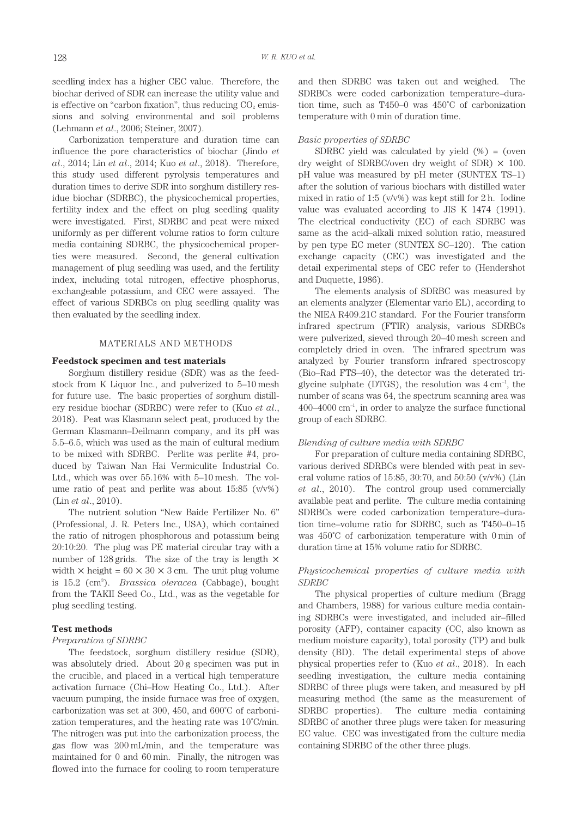seedling index has a higher CEC value. Therefore, the biochar derived of SDR can increase the utility value and is effective on "carbon fixation", thus reducing  $CO<sub>2</sub>$  emissions and solving environmental and soil problems (Lehmann *et al*., 2006; Steiner, 2007).

Carbonization temperature and duration time can influence the pore characteristics of biochar (Jindo *et al*., 2014; Lin *et al*., 2014; Kuo *et al*., 2018). Therefore, this study used different pyrolysis temperatures and duration times to derive SDR into sorghum distillery residue biochar (SDRBC), the physicochemical properties, fertility index and the effect on plug seedling quality were investigated. First, SDRBC and peat were mixed uniformly as per different volume ratios to form culture media containing SDRBC, the physicochemical properties were measured. Second, the general cultivation management of plug seedling was used, and the fertility index, including total nitrogen, effective phosphorus, exchangeable potassium, and CEC were assayed. The effect of various SDRBCs on plug seedling quality was then evaluated by the seedling index.

## MATERIALS AND METHODS

#### **Feedstock specimen and test materials**

Sorghum distillery residue (SDR) was as the feedstock from K Liquor Inc., and pulverized to 5–10 mesh for future use. The basic properties of sorghum distillery residue biochar (SDRBC) were refer to (Kuo *et al*., 2018). Peat was Klasmann select peat, produced by the German Klasmann–Deilmann company, and its pH was 5.5–6.5, which was used as the main of cultural medium to be mixed with SDRBC. Perlite was perlite #4, produced by Taiwan Nan Hai Vermiculite Industrial Co. Ltd., which was over 55.16% with 5–10 mesh. The volume ratio of peat and perlite was about 15:85 (v/v%) (Lin *et al*., 2010).

The nutrient solution "New Baide Fertilizer No. 6" (Professional, J. R. Peters Inc., USA), which contained the ratio of nitrogen phosphorous and potassium being 20:10:20. The plug was PE material circular tray with a number of 128 grids. The size of the tray is length  $\times$ width  $\times$  height = 60  $\times$  30  $\times$  3 cm. The unit plug volume is 15.2 (cm3 ). *Brassica oleracea* (Cabbage), bought from the TAKII Seed Co., Ltd., was as the vegetable for plug seedling testing.

#### **Test methods**

#### *Preparation of SDRBC*

The feedstock, sorghum distillery residue (SDR), was absolutely dried. About 20 g specimen was put in the crucible, and placed in a vertical high temperature activation furnace (Chi–How Heating Co., Ltd.). After vacuum pumping, the inside furnace was free of oxygen, carbonization was set at 300, 450, and 600˚C of carbonization temperatures, and the heating rate was 10˚C/min. The nitrogen was put into the carbonization process, the gas flow was 200 mL/min, and the temperature was maintained for 0 and 60 min. Finally, the nitrogen was flowed into the furnace for cooling to room temperature and then SDRBC was taken out and weighed. The SDRBCs were coded carbonization temperature–duration time, such as T450–0 was 450˚C of carbonization temperature with 0 min of duration time.

#### *Basic properties of SDRBC*

SDRBC yield was calculated by yield  $(\%) = (oven$ dry weight of SDRBC/oven dry weight of SDR)  $\times$  100. pH value was measured by pH meter (SUNTEX TS–1) after the solution of various biochars with distilled water mixed in ratio of 1:5 ( $v/v\%$ ) was kept still for 2 h. Iodine value was evaluated according to JIS K 1474 (1991). The electrical conductivity (EC) of each SDRBC was same as the acid–alkali mixed solution ratio, measured by pen type EC meter (SUNTEX SC–120). The cation exchange capacity (CEC) was investigated and the detail experimental steps of CEC refer to (Hendershot and Duquette, 1986).

The elements analysis of SDRBC was measured by an elements analyzer (Elementar vario EL), according to the NIEA R409.21C standard. For the Fourier transform infrared spectrum (FTIR) analysis, various SDRBCs were pulverized, sieved through 20–40 mesh screen and completely dried in oven. The infrared spectrum was analyzed by Fourier transform infrared spectroscopy (Bio–Rad FTS–40), the detector was the deterated triglycine sulphate (DTGS), the resolution was  $4 \text{ cm}^{-1}$ , the number of scans was 64, the spectrum scanning area was  $400-4000$  cm<sup>-1</sup>, in order to analyze the surface functional group of each SDRBC.

#### *Blending of culture media with SDRBC*

For preparation of culture media containing SDRBC, various derived SDRBCs were blended with peat in several volume ratios of 15:85, 30:70, and 50:50 (v/v%) (Lin *et al*., 2010). The control group used commercially available peat and perlite. The culture media containing SDRBCs were coded carbonization temperature–duration time–volume ratio for SDRBC, such as T450–0–15 was 450˚C of carbonization temperature with 0 min of duration time at 15% volume ratio for SDRBC.

## *Physicochemical properties of culture media with SDRBC*

The physical properties of culture medium (Bragg and Chambers, 1988) for various culture media containing SDRBCs were investigated, and included air–filled porosity (AFP), container capacity (CC, also known as medium moisture capacity), total porosity (TP) and bulk density (BD). The detail experimental steps of above physical properties refer to (Kuo *et al*., 2018). In each seedling investigation, the culture media containing SDRBC of three plugs were taken, and measured by pH measuring method (the same as the measurement of SDRBC properties). The culture media containing SDRBC of another three plugs were taken for measuring EC value. CEC was investigated from the culture media containing SDRBC of the other three plugs.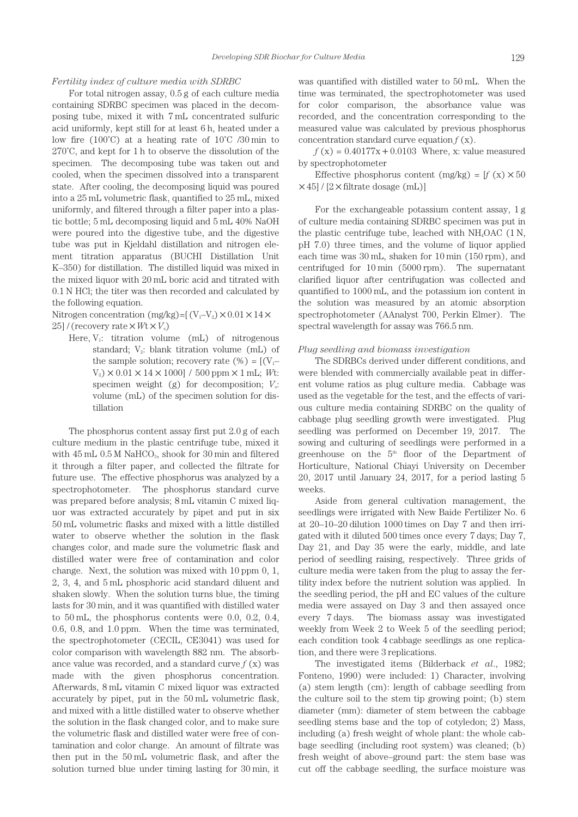### *Fertility index of culture media with SDRBC*

For total nitrogen assay, 0.5 g of each culture media containing SDRBC specimen was placed in the decomposing tube, mixed it with 7 mL concentrated sulfuric acid uniformly, kept still for at least 6 h, heated under a low fire (100°C) at a heating rate of  $10^{\circ}$ C /30 min to 270˚C, and kept for 1 h to observe the dissolution of the specimen. The decomposing tube was taken out and cooled, when the specimen dissolved into a transparent state. After cooling, the decomposing liquid was poured into a 25 mL volumetric flask, quantified to 25 mL, mixed uniformly, and filtered through a filter paper into a plastic bottle; 5 mL decomposing liquid and 5 mL 40% NaOH were poured into the digestive tube, and the digestive tube was put in Kjeldahl distillation and nitrogen element titration apparatus (BUCHI Distillation Unit K–350) for distillation. The distilled liquid was mixed in the mixed liquor with 20 mL boric acid and titrated with 0.1 N HCl; the titer was then recorded and calculated by the following equation.

Nitrogen concentration (mg/kg)=[ $(V_1-V_2) \times 0.01 \times 14 \times$ 25] / (recovery rate  $\times Wt \times V_s$ )

Here,  $V_1$ : titration volume (mL) of nitrogenous standard;  $V_2$ : blank titration volume (mL) of the sample solution; recovery rate  $(\%) = [(V_1 V_2$ )  $\times$  0.01  $\times$  14  $\times$  1000] / 500 ppm  $\times$  1 mL; *Wt*: specimen weight (g) for decomposition;  $V_s$ : volume (mL) of the specimen solution for distillation

The phosphorus content assay first put 2.0 g of each culture medium in the plastic centrifuge tube, mixed it with  $45 \text{ mL } 0.5 \text{ M }$  NaHCO<sub>3</sub>, shook for 30 min and filtered it through a filter paper, and collected the filtrate for future use. The effective phosphorus was analyzed by a spectrophotometer. The phosphorus standard curve was prepared before analysis; 8 mL vitamin C mixed liquor was extracted accurately by pipet and put in six 50 mL volumetric flasks and mixed with a little distilled water to observe whether the solution in the flask changes color, and made sure the volumetric flask and distilled water were free of contamination and color change. Next, the solution was mixed with 10 ppm 0, 1, 2, 3, 4, and 5 mL phosphoric acid standard diluent and shaken slowly. When the solution turns blue, the timing lasts for 30 min, and it was quantified with distilled water to 50 mL, the phosphorus contents were 0.0, 0.2, 0.4, 0.6, 0.8, and 1.0 ppm. When the time was terminated, the spectrophotometer (CECIL, CE3041) was used for color comparison with wavelength 882 nm. The absorbance value was recorded, and a standard curve *f* (x) was made with the given phosphorus concentration. Afterwards, 8 mL vitamin C mixed liquor was extracted accurately by pipet, put in the 50 mL volumetric flask, and mixed with a little distilled water to observe whether the solution in the flask changed color, and to make sure the volumetric flask and distilled water were free of contamination and color change. An amount of filtrate was then put in the 50 mL volumetric flask, and after the solution turned blue under timing lasting for 30 min, it

was quantified with distilled water to 50 mL. When the time was terminated, the spectrophotometer was used for color comparison, the absorbance value was recorded, and the concentration corresponding to the measured value was calculated by previous phosphorus concentration standard curve equation *f* (x).

 $f(x) = 0.40177x + 0.0103$  Where, x: value measured by spectrophotometer

Effective phosphorus content  $(mg/kg) = [f(x) \times 50]$  $\times$ 45] / [2 $\times$  filtrate dosage (mL)]

For the exchangeable potassium content assay, 1 g of culture media containing SDRBC specimen was put in the plastic centrifuge tube, leached with  $NH<sub>4</sub>OAC$  (1 N, pH 7.0) three times, and the volume of liquor applied each time was 30 mL, shaken for 10 min (150 rpm), and centrifuged for 10 min (5000 rpm). The supernatant clarified liquor after centrifugation was collected and quantified to 1000 mL, and the potassium ion content in the solution was measured by an atomic absorption spectrophotometer (AAnalyst 700, Perkin Elmer). The spectral wavelength for assay was 766.5 nm.

#### *Plug seedling and biomass investigation*

The SDRBCs derived under different conditions, and were blended with commercially available peat in different volume ratios as plug culture media. Cabbage was used as the vegetable for the test, and the effects of various culture media containing SDRBC on the quality of cabbage plug seedling growth were investigated. Plug seedling was performed on December 19, 2017. The sowing and culturing of seedlings were performed in a greenhouse on the  $5<sup>th</sup>$  floor of the Department of Horticulture, National Chiayi University on December 20, 2017 until January 24, 2017, for a period lasting 5 weeks.

Aside from general cultivation management, the seedlings were irrigated with New Baide Fertilizer No. 6 at 20–10–20 dilution 1000 times on Day 7 and then irrigated with it diluted 500 times once every 7 days; Day 7, Day 21, and Day 35 were the early, middle, and late period of seedling raising, respectively. Three grids of culture media were taken from the plug to assay the fertility index before the nutrient solution was applied. In the seedling period, the pH and EC values of the culture media were assayed on Day 3 and then assayed once every 7 days. The biomass assay was investigated weekly from Week 2 to Week 5 of the seedling period; each condition took 4 cabbage seedlings as one replication, and there were 3 replications.

The investigated items (Bilderback *et al*., 1982; Fonteno, 1990) were included: 1) Character, involving (a) stem length (cm): length of cabbage seedling from the culture soil to the stem tip growing point; (b) stem diameter (mm): diameter of stem between the cabbage seedling stems base and the top of cotyledon; 2) Mass, including (a) fresh weight of whole plant: the whole cabbage seedling (including root system) was cleaned; (b) fresh weight of above–ground part: the stem base was cut off the cabbage seedling, the surface moisture was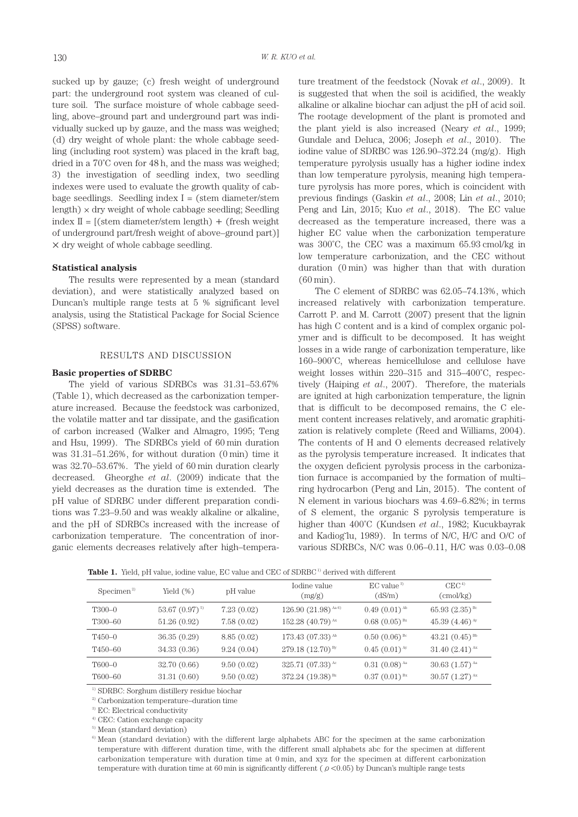sucked up by gauze; (c) fresh weight of underground part: the underground root system was cleaned of culture soil. The surface moisture of whole cabbage seedling, above–ground part and underground part was individually sucked up by gauze, and the mass was weighed; (d) dry weight of whole plant: the whole cabbage seedling (including root system) was placed in the kraft bag, dried in a 70˚C oven for 48 h, and the mass was weighed; 3) the investigation of seedling index, two seedling indexes were used to evaluate the growth quality of cabbage seedlings. Seedling index  $I =$  (stem diameter/stem length)  $\times$  dry weight of whole cabbage seedling; Seedling index  $II = [(stem diameter/stem length) + (fresh weight$ of underground part/fresh weight of above–ground part)] × dry weight of whole cabbage seedling.

#### **Statistical analysis**

The results were represented by a mean (standard deviation), and were statistically analyzed based on Duncan's multiple range tests at 5 % significant level analysis, using the Statistical Package for Social Science (SPSS) software.

#### RESULTS AND DISCUSSION

#### **Basic properties of SDRBC**

The yield of various SDRBCs was 31.31–53.67% (Table 1), which decreased as the carbonization temperature increased. Because the feedstock was carbonized, the volatile matter and tar dissipate, and the gasification of carbon increased (Walker and Almagro, 1995; Teng and Hsu, 1999). The SDRBCs yield of 60 min duration was 31.31–51.26%, for without duration (0 min) time it was 32.70–53.67%. The yield of 60 min duration clearly decreased. Gheorghe *et al*. (2009) indicate that the yield decreases as the duration time is extended. The pH value of SDRBC under different preparation conditions was 7.23–9.50 and was weakly alkaline or alkaline, and the pH of SDRBCs increased with the increase of carbonization temperature. The concentration of inorganic elements decreases relatively after high–tempera-

ture treatment of the feedstock (Novak *et al*., 2009). It is suggested that when the soil is acidified, the weakly alkaline or alkaline biochar can adjust the pH of acid soil. The rootage development of the plant is promoted and the plant yield is also increased (Neary *et al*., 1999; Gundale and Deluca, 2006; Joseph *et al*., 2010). The iodine value of SDRBC was 126.90–372.24 (mg/g). High temperature pyrolysis usually has a higher iodine index than low temperature pyrolysis, meaning high temperature pyrolysis has more pores, which is coincident with previous findings (Gaskin *et al*., 2008; Lin *et al*., 2010; Peng and Lin, 2015; Kuo *et al*., 2018). The EC value decreased as the temperature increased, there was a higher EC value when the carbonization temperature was 300˚C, the CEC was a maximum 65.93 cmol/kg in low temperature carbonization, and the CEC without duration (0 min) was higher than that with duration (60 min).

The C element of SDRBC was 62.05–74.13%, which increased relatively with carbonization temperature. Carrott P. and M. Carrott (2007) present that the lignin has high C content and is a kind of complex organic polymer and is difficult to be decomposed. It has weight losses in a wide range of carbonization temperature, like 160–900˚C, whereas hemicellulose and cellulose have weight losses within 220–315 and 315–400˚C, respectively (Haiping *et al*., 2007). Therefore, the materials are ignited at high carbonization temperature, the lignin that is difficult to be decomposed remains, the C element content increases relatively, and aromatic graphitization is relatively complete (Reed and Williams, 2004). The contents of H and O elements decreased relatively as the pyrolysis temperature increased. It indicates that the oxygen deficient pyrolysis process in the carbonization furnace is accompanied by the formation of multi– ring hydrocarbon (Peng and Lin, 2015). The content of N element in various biochars was 4.69–6.82%; in terms of S element, the organic S pyrolysis temperature is higher than 400˚C (Kundsen *et al*., 1982; Kucukbayrak and Kadiog˘lu, 1989). In terms of N/C, H/C and O/C of various SDRBCs, N/C was 0.06–0.11, H/C was 0.03–0.08

**Table 1.** Yield, pH value, iodine value, EC value and CEC of SDRBC<sup>1</sup> derived with different

| Specimen <sup>2</sup> | Yield $(\%)$       | pH value   | Iodine value<br>(mg/g)         | $EC$ value $3$<br>(dS/m) | CEC <sup>4</sup><br>(cmol/kg) |
|-----------------------|--------------------|------------|--------------------------------|--------------------------|-------------------------------|
| T <sub>300-0</sub>    | 53.67 $(0.97)^{5}$ | 7.23(0.02) | $126.90(21.98)^{Aa}$           | $0.49(0.01)^{Ab}$        | $65.93(2.35)^{Bc}$            |
| T300-60               | 51.26(0.92)        | 7.58(0.02) | 152.28 $(40.79)^{Ax}$          | $0.68(0.05)^{Bz}$        | 45.39 $(4.46)^{A_y}$          |
| $T450-0$              | 36.35(0.29)        | 8.85(0.02) | $173.43(07.33)^{Ab}$           | $0.50(0.06)^{Bc}$        | 43.21 $(0.45)$ <sup>Bb</sup>  |
| T450-60               | 34.33(0.36)        | 9.24(0.04) | $279.18(12.70)^{By}$           | $0.45(0.01)^{A_y}$       | $31.40(2.41)^{Ax}$            |
| $T600-0$              | 32.70 (0.66)       | 9.50(0.02) | 325.71 $(07.33)$ <sup>Ac</sup> | $0.31(0.08)^{Aa}$        | $30.63(1.57)^{Aa}$            |
| T600-60               | 31.31(0.60)        | 9.50(0.02) | 372.24 $(19.38)^{Bz}$          | $0.37(0.01)^{Bx}$        | $30.57(1.27)^{A x}$           |

1) SDRBC: Sorghum distillery residue biochar

 $^\mathrm{2)}$  Carbonization temperature–duration time

3) EC: Electrical conductivity

4) CEC: Cation exchange capacity

5) Mean (standard deviation)

6) Mean (standard deviation) with the different large alphabets ABC for the specimen at the same carbonization temperature with different duration time, with the different small alphabets abc for the specimen at different carbonization temperature with duration time at 0 min, and xyz for the specimen at different carbonization temperature with duration time at 60 min is significantly different ( $\rho < 0.05$ ) by Duncan's multiple range tests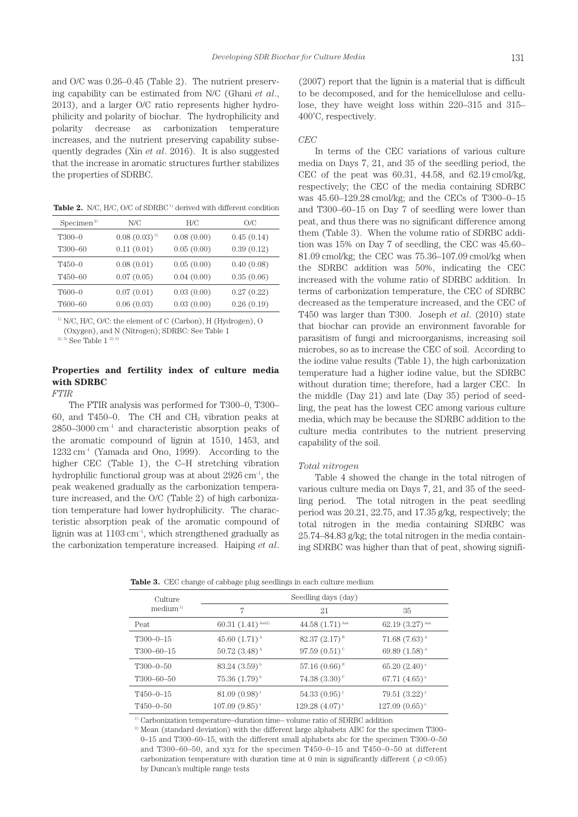and O/C was 0.26–0.45 (Table 2). The nutrient preserving capability can be estimated from N/C (Ghani *et al*., 2013), and a larger O/C ratio represents higher hydrophilicity and polarity of biochar. The hydrophilicity and polarity decrease as carbonization temperature increases, and the nutrient preserving capability subsequently degrades (Xin *et al*. 2016). It is also suggested that the increase in aromatic structures further stabilizes the properties of SDRBC.

Table 2. N/C, H/C, O/C of SDRBC<sup>1)</sup> derived with different condition

| Specimen <sup>2</sup> | N/C              | H/C        | O/C        |
|-----------------------|------------------|------------|------------|
| $T300-0$              | $0.08(0.03)^{3}$ | 0.08(0.00) | 0.45(0.14) |
| T300-60               | 0.11(0.01)       | 0.05(0.00) | 0.39(0.12) |
| T450-0                | 0.08(0.01)       | 0.05(0.00) | 0.40(0.08) |
| T <sub>450-60</sub>   | 0.07(0.05)       | 0.04(0.00) | 0.35(0.06) |
| $T600-0$              | 0.07(0.01)       | 0.03(0.00) | 0.27(0.22) |
| T600-60               | 0.06(0.03)       | 0.03(0.00) | 0.26(0.19) |

1) N/C, H/C, O/C: the element of C (Carbon), H (Hydrogen), O

(Oxygen), and N (Nitrogen); SDRBC: See Table 1

 $20, 3)$  See Table  $12$ ,  $20, 5)$ 

# **Properties and fertility index of culture media with SDRBC**

## *FTIR*

The FTIR analysis was performed for T300–0, T300– 60, and T450–0. The CH and  $CH<sub>2</sub>$  vibration peaks at  $2850-3000$  cm<sup>-1</sup> and characteristic absorption peaks of the aromatic compound of lignin at 1510, 1453, and  $1232 \text{ cm}^{-1}$  (Yamada and Ono, 1999). According to the higher CEC (Table 1), the C–H stretching vibration hydrophilic functional group was at about  $2926 \text{ cm}^{-1}$ , the peak weakened gradually as the carbonization temperature increased, and the O/C (Table 2) of high carbonization temperature had lower hydrophilicity. The characteristic absorption peak of the aromatic compound of lignin was at  $1103 \text{ cm}^{-1}$ , which strengthened gradually as the carbonization temperature increased. Haiping *et al*. (2007) report that the lignin is a material that is difficult to be decomposed, and for the hemicellulose and cellulose, they have weight loss within 220–315 and 315– 400˚C, respectively.

#### *CEC*

In terms of the CEC variations of various culture media on Days 7, 21, and 35 of the seedling period, the CEC of the peat was  $60.31$ ,  $44.58$ , and  $62.19$  cmol/kg, respectively; the CEC of the media containing SDRBC was 45.60–129.28 cmol/kg; and the CECs of T300–0–15 and T300–60–15 on Day 7 of seedling were lower than peat, and thus there was no significant difference among them (Table 3). When the volume ratio of SDRBC addition was 15% on Day 7 of seedling, the CEC was 45.60– 81.09 cmol/kg; the CEC was 75.36–107.09 cmol/kg when the SDRBC addition was 50%, indicating the CEC increased with the volume ratio of SDRBC addition. In terms of carbonization temperature, the CEC of SDRBC decreased as the temperature increased, and the CEC of T450 was larger than T300. Joseph *et al*. (2010) state that biochar can provide an environment favorable for parasitism of fungi and microorganisms, increasing soil microbes, so as to increase the CEC of soil. According to the iodine value results (Table 1), the high carbonization temperature had a higher iodine value, but the SDRBC without duration time; therefore, had a larger CEC. In the middle (Day 21) and late (Day 35) period of seedling, the peat has the lowest CEC among various culture media, which may be because the SDRBC addition to the culture media contributes to the nutrient preserving capability of the soil.

#### *Total nitrogen*

Table 4 showed the change in the total nitrogen of various culture media on Days 7, 21, and 35 of the seedling period. The total nitrogen in the peat seedling period was 20.21, 22.75, and 17.35 g/kg, respectively; the total nitrogen in the media containing SDRBC was 25.74–84.83 g/kg; the total nitrogen in the media containing SDRBC was higher than that of peat, showing signifi-

**Table 3.** CEC change of cabbage plug seedlings in each culture medium

| Culture             |                                                 | Seedling days (day)         |                               |
|---------------------|-------------------------------------------------|-----------------------------|-------------------------------|
| median <sup>1</sup> | 7                                               | 21                          | 35                            |
| Peat                | 60.31 $(1.41)^{Aax2}$                           | 44.58 $(1.71)^{Aax}$        | 62.19 $(3.27)$ <sup>Aax</sup> |
| $T300 - 0 - 15$     | 45.60 $(1.71)^{A}$                              | $82.37(2.17)^{B}$           | $71.68(7.63)^{A}$             |
| $T300 - 60 - 15$    | $50.72$ (3.48) <sup><math>\text{A}</math></sup> | 97.59 $(0.51)^c$            | 69.89 $(1.58)^{A}$            |
| $T300-0-50$         | $83.24~(3.59)^{b}$                              | $57.16(0.66)^{B}$           | $65.20(2.40)^{a}$             |
| $T300 - 60 - 50$    | $75.36(1.79)^{b}$                               | 74.38 $(3.30)$ <sup>c</sup> | $67.71(4.65)$ <sup>a</sup>    |
| $T450 - 0 - 15$     | 81.09 $(0.98)^y$                                | $54.33(0.95)^y$             | $79.51(3.22)^y$               |
| $T450 - 0 - 50$     | $107.09(9.85)^{z}$                              | $129.28(4.07)^{z}$          | $127.09(0.65)^{z}$            |

 $^{\rm 1)}$  Carbonization temperature–duration time– volume ratio of SDRBC addition

<sup>2)</sup> Mean (standard deviation) with the different large alphabets ABC for the specimen T300– 0–15 and T300–60–15, with the different small alphabets abc for the specimen T300–0–50 and T300–60–50, and xyz for the specimen T450–0–15 and T450–0–50 at different carbonization temperature with duration time at 0 min is significantly different ( $\rho < 0.05$ ) by Duncan's multiple range tests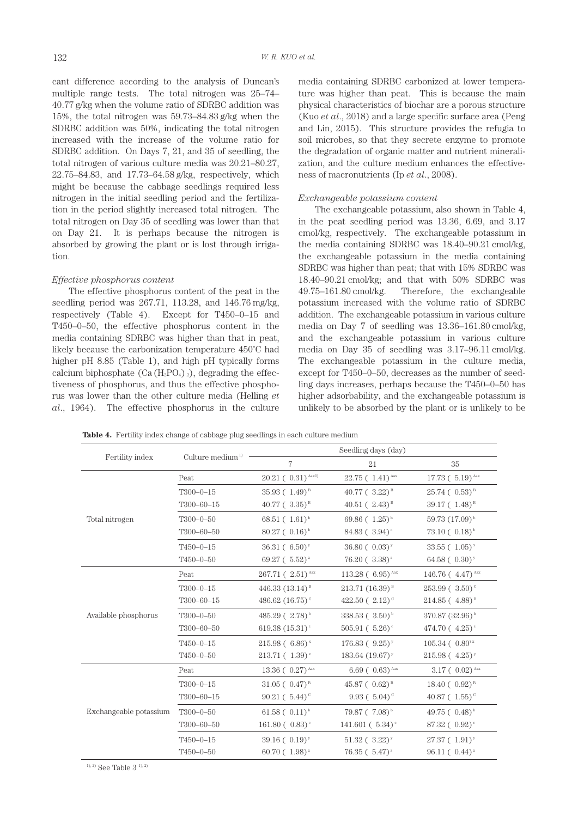cant difference according to the analysis of Duncan's multiple range tests. The total nitrogen was 25–74– 40.77 g/kg when the volume ratio of SDRBC addition was 15%, the total nitrogen was 59.73–84.83 g/kg when the SDRBC addition was 50%, indicating the total nitrogen increased with the increase of the volume ratio for SDRBC addition. On Days 7, 21, and 35 of seedling, the total nitrogen of various culture media was 20.21–80.27, 22.75–84.83, and 17.73–64.58 g/kg, respectively, which might be because the cabbage seedlings required less nitrogen in the initial seedling period and the fertilization in the period slightly increased total nitrogen. The total nitrogen on Day 35 of seedling was lower than that on Day 21. It is perhaps because the nitrogen is absorbed by growing the plant or is lost through irrigation.

#### *Effective phosphorus content*

The effective phosphorus content of the peat in the seedling period was 267.71, 113.28, and 146.76 mg/kg, respectively (Table 4). Except for T450–0–15 and T450–0–50, the effective phosphorus content in the media containing SDRBC was higher than that in peat, likely because the carbonization temperature 450˚C had higher pH 8.85 (Table 1), and high pH typically forms calcium biphosphate  $(Ca (H_2PO_4)_2)$ , degrading the effectiveness of phosphorus, and thus the effective phosphorus was lower than the other culture media (Helling *et al*., 1964). The effective phosphorus in the culture media containing SDRBC carbonized at lower temperature was higher than peat. This is because the main physical characteristics of biochar are a porous structure (Kuo *et al*., 2018) and a large specific surface area (Peng and Lin, 2015). This structure provides the refugia to soil microbes, so that they secrete enzyme to promote the degradation of organic matter and nutrient mineralization, and the culture medium enhances the effectiveness of macronutrients (Ip *et al*., 2008).

#### *Exchangeable potassium content*

The exchangeable potassium, also shown in Table 4, in the peat seedling period was 13.36, 6.69, and 3.17 cmol/kg, respectively. The exchangeable potassium in the media containing SDRBC was 18.40–90.21 cmol/kg, the exchangeable potassium in the media containing SDRBC was higher than peat; that with 15% SDRBC was 18.40–90.21 cmol/kg; and that with 50% SDRBC was 49.75–161.80 cmol/kg. Therefore, the exchangeable potassium increased with the volume ratio of SDRBC addition. The exchangeable potassium in various culture media on Day 7 of seedling was 13.36–161.80 cmol/kg, and the exchangeable potassium in various culture media on Day 35 of seedling was 3.17–96.11 cmol/kg. The exchangeable potassium in the culture media, except for T450–0–50, decreases as the number of seedling days increases, perhaps because the T450–0–50 has higher adsorbability, and the exchangeable potassium is unlikely to be absorbed by the plant or is unlikely to be

**Table 4.** Fertility index change of cabbage plug seedlings in each culture medium

| Fertility index        | Culture medium $1$ | Seedling days (day)             |                                  |                                  |  |  |
|------------------------|--------------------|---------------------------------|----------------------------------|----------------------------------|--|--|
|                        |                    | 7                               | 21                               | 35                               |  |  |
|                        | Peat               | $20.21(0.31)^{Aax2}$            | $22.75(1.41)^{Aax}$              | 17.73 $(5.19)$ Aax               |  |  |
|                        | $T300 - 0 - 15$    | $35.93(1.49)^{B}$               | $40.77$ ( $3.22$ ) <sup>B</sup>  | $25.74 (0.53)^{B}$               |  |  |
|                        | T300-60-15         | $40.77$ ( $3.35$ ) <sup>B</sup> | $40.51 (2.43)^{B}$               | $39.17 (1.48)^{B}$               |  |  |
| Total nitrogen         | $T300 - 0 - 50$    | $68.51(1.61)^{b}$               | 69.86 $(1.25)^{b}$               | $59.73(17.09)^{b}$               |  |  |
|                        | T300-60-50         | $80.27 (0.16)^{b}$              | 84.83 ( $3.94$ ) <sup>c</sup>    | $73.10 (0.18)^{b}$               |  |  |
|                        | $T450 - 0 - 15$    | $36.31 (6.50)^y$                | $36.80 (0.03)^y$                 | $33.55$ (1.05) <sup>x</sup>      |  |  |
|                        | $T450 - 0 - 50$    | 69.27 ( $5.52$ ) <sup>z</sup>   | $76.20(3.38)^{2}$                | 64.58 $(0.30)^y$                 |  |  |
|                        | Peat               | 267.71 (2.51) <sup>Aax</sup>    | 113.28 $(6.95)^{Aax}$            | 146.76 ( $4.47$ ) <sup>Aax</sup> |  |  |
|                        | $T300 - 0 - 15$    | 446.33 $(13.14)^{B}$            | $213.71(16.39)^{B}$              | $253.99 (3.50)^c$                |  |  |
|                        | T300-60-15         | 486.62 $(16.75)$ <sup>c</sup>   | 422.50 $(2.12)^c$                | $214.85(4.88)^{B}$               |  |  |
| Available phosphorus   | $T300 - 0 - 50$    | 485.29 ( $2.78$ ) <sup>b</sup>  | $338.53 (3.50)^{b}$              | 370.87 (32.96) <sup>b</sup>      |  |  |
|                        | T300-60-50         | 619.38 $(15.31)$ <sup>c</sup>   | $505.91 (5.26)$ <sup>c</sup>     | 474.70 $(4.25)$ <sup>c</sup>     |  |  |
|                        | $T450 - 0 - 15$    | $215.98(6.86)^{x}$              | $176.83 (9.25)^y$                | $105.34 (0.80)$ x                |  |  |
|                        | $T450 - 0 - 50$    | $213.71(1.39)^{x}$              | 183.64 $(19.67)$ <sup>y</sup>    | $215.98(4.25)^y$                 |  |  |
|                        | Peat               | 13.36 ( $0.27$ ) Aax            | $6.69$ ( $0.63$ ) <sup>Aax</sup> | $3.17(0.02)^{Aax}$               |  |  |
|                        | $T300 - 0 - 15$    | $31.05 (0.47)^{B}$              | 45.87 ( $0.62$ ) <sup>B</sup>    | $18.40 (0.92)^{B}$               |  |  |
|                        | T300-60-15         | $90.21 (5.44)^c$                | 9.93 ( $5.04$ ) <sup>c</sup>     | 40.87 ( $1.55$ ) <sup>c</sup>    |  |  |
| Exchangeable potassium | $T300 - 0 - 50$    | $61.58 (0.11)^{b}$              | $79.87 (7.08)^{b}$               | 49.75 $(0.48)^{b}$               |  |  |
|                        | T300-60-50         | $161.80 (0.83)$ <sup>c</sup>    | 141.601 ( $5.34$ ) <sup>c</sup>  | 87.32 $(0.92)$                   |  |  |
|                        | $T450 - 0 - 15$    | $39.16 (0.19)^y$                | $51.32 (3.22)^y$                 | $27.37(1.91)^y$                  |  |  |
|                        | $T450 - 0 - 50$    | 60.70 ( $1.98$ ) <sup>z</sup>   | $76.35 (5.47)^{2}$               | $96.11 (0.44)^{2}$               |  |  |

 $1)$ , 2) See Table 3 $1)$ , 2)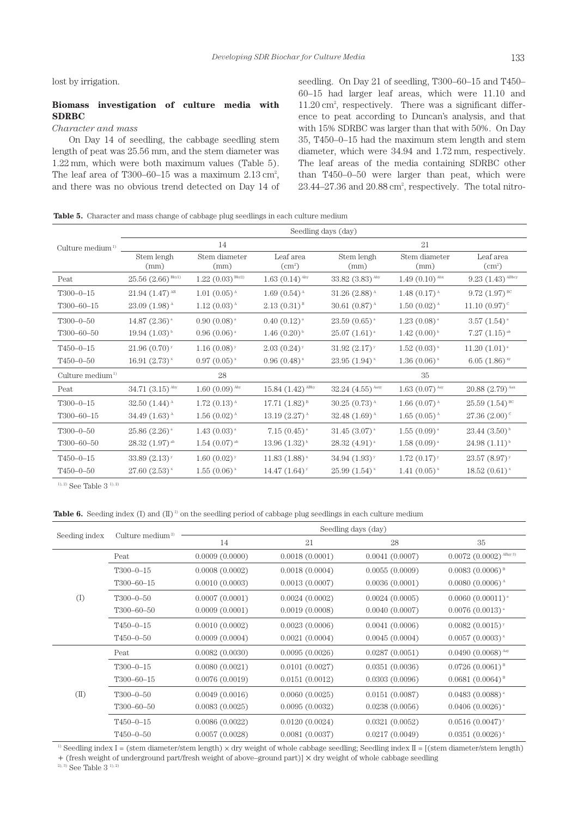lost by irrigation.

# **Biomass investigation of culture media with SDRBC**

# *Character and mass*

On Day 14 of seedling, the cabbage seedling stem length of peat was 25.56 mm, and the stem diameter was 1.22 mm, which were both maximum values (Table 5). The leaf area of T300–60–15 was a maximum  $2.13 \text{ cm}^2$ , and there was no obvious trend detected on Day 14 of

seedling. On Day 21 of seedling, T300–60–15 and T450– 60–15 had larger leaf areas, which were 11.10 and 11.20 cm2 , respectively. There was a significant difference to peat according to Duncan's analysis, and that with 15% SDRBC was larger than that with 50%. On Day 35, T450–0–15 had the maximum stem length and stem diameter, which were 34.94 and 1.72 mm, respectively. The leaf areas of the media containing SDRBC other than T450–0–50 were larger than peat, which were  $23.44 - 27.36$  and  $20.88$  cm<sup>2</sup>, respectively. The total nitro-

**Table 5.** Character and mass change of cabbage plug seedlings in each culture medium

|                              | Seedling days (day)               |                                  |                             |                                  |                                                |                               |
|------------------------------|-----------------------------------|----------------------------------|-----------------------------|----------------------------------|------------------------------------------------|-------------------------------|
| Culture medium <sup>1)</sup> | 14                                |                                  |                             | 21                               |                                                |                               |
|                              | Stem lengh<br>(mm)                | Stem diameter<br>(mm)            | Leaf area<br>$\rm(cm^2)$    | Stem lengh<br>(mm)               | Stem diameter<br>(mm)                          | Leaf area<br>$\text{cm}^2$    |
| Peat                         | $25.56$ $(2.66)$ <sup>Bby1)</sup> | $1.22$ $(0.03)$ <sup>Bby2)</sup> | $1.63(0.14)$ <sup>Aby</sup> | $33.82$ $(3.83)$ <sup>Aby</sup>  | $1.49(0.10)^{Abx}$                             | $9.23(1.43)^{ABby}$           |
| $T300 - 0 - 15$              | $21.94(1.47)^{AB}$                | $1.01(0.05)^{A}$                 | $1.69(0.54)^{A}$            | $31.26$ (2.88) <sup>A</sup>      | 1.48 $(0.17)$ <sup><math>\text{A}</math></sup> | $9.72$ $(1.97)$ <sup>BC</sup> |
| $T300 - 60 - 15$             | $23.09(1.98)^{A}$                 | $1.12(0.03)^{A}$                 | $2.13(0.31)^{B}$            | 30.61 $(0.87)^{A}$               | $1.50(0.02)^{A}$                               | $11.10(0.97)$ <sup>c</sup>    |
| $T300 - 0 - 50$              | 14.87 $(2.36)^{a}$                | $0.90(0.08)^{a}$                 | $0.40(0.12)^{a}$            | $23.59(0.65)$ <sup>a</sup>       | $1.23(0.08)^{a}$                               | $3.57(1.54)^{a}$              |
| T300-60-50                   | $19.94(1.03)^{b}$                 | $0.96(0.06)^{a}$                 | $1.46(0.20)$ <sup>b</sup>   | $25.07(1.61)^{a}$                | $1.42(0.00)^{b}$                               | $7.27(1.15)$ <sup>ab</sup>    |
| $T450 - 0 - 15$              | $21.96(0.70)^y$                   | $1.16(0.08)^y$                   | $2.03(0.24)$ <sup>y</sup>   | $31.92~(2.17)^y$                 | $1.52(0.03)^{x}$                               | $11.20(1.01)^{z}$             |
| $T450 - 0 - 50$              | 16.91 $(2.73)^{x}$                | $0.97(0.05)^{x}$                 | $0.96(0.48)$ <sup>x</sup>   | $23.95(1.94)$ <sup>x</sup>       | $1.36(0.06)^{x}$                               | $6.05(1.86)$ <sup>xy</sup>    |
| Culture medium <sup>1)</sup> |                                   | 28                               |                             |                                  | 35                                             |                               |
| Peat                         | $34.71(3.15)^{Aby}$               | $1.60(0.09)$ <sup>Aby</sup>      | $15.84(1.42)^{ABby}$        | $32.24$ $(4.55)$ <sup>Aaxy</sup> | $1.63$ $(0.07)$ <sup>Aay</sup>                 | $20.88(2.79)$ <sup>Aax</sup>  |
| $T300 - 0 - 15$              | 32.50 $(1.44)^{A}$                | $1.72(0.13)^{A}$                 | 17.71 $(1.82)^B$            | $30.25(0.73)^{A}$                | 1.66 $(0.07)^{A}$                              | $25.59(1.54)^{BC}$            |
| $T300 - 60 - 15$             | 34.49 $(1.63)$ <sup>A</sup>       | $1.56(0.02)^{A}$                 | 13.19 $(2.27)^{A}$          | 32.48 $(1.69)^{A}$               | $1.65(0.05)^{A}$                               | $27.36(2.00)$ <sup>c</sup>    |
| $T300 - 0 - 50$              | $25.86$ $(2.26)$ <sup>a</sup>     | $1.43(0.03)^{a}$                 | $7.15(0.45)$ <sup>a</sup>   | $31.45(3.07)^{a}$                | $1.55(0.09)^{a}$                               | $23.44(3.50)^{b}$             |
| T300-60-50                   | $28.32(1.97)$ <sup>ab</sup>       | $1.54$ $(0.07)$ <sup>ab</sup>    | $13.96(1.32)^{b}$           | $28.32(4.91)^{a}$                | $1.58(0.09)$ <sup>a</sup>                      | $24.98(1.11)^{b}$             |
| $T450 - 0 - 15$              | 33.89 $(2.13)^y$                  | $1.60~(0.02)^y$                  | $11.83(1.88)^{x}$           | 34.94 $(1.93)^{y}$               | $1.72(0.17)^{y}$                               | $23.57(8.97)^{y}$             |
| $T450 - 0 - 50$              | $27.60(2.53)^{x}$                 | $1.55(0.06)^{x}$                 | 14.47 $(1.64)$ <sup>y</sup> | $25.99(1.54)^{x}$                | 1.41 $(0.05)^{x}$                              | $18.52(0.61)^{x}$             |

<sup>1), 2)</sup> See Table 3<sup>1), 2)</sup>

**Table 6.** Seeding index (I) and (II)<sup>1)</sup> on the seedling period of cabbage plug seedlings in each culture medium

| Seeding index  | Culture medium <sup>2)</sup> | Seedling days (day) |                |                |                                      |
|----------------|------------------------------|---------------------|----------------|----------------|--------------------------------------|
|                |                              | 14                  | 21             | 28             | 35                                   |
| (1)            | Peat                         | 0.0009(0.0000)      | 0.0018(0.0001) | 0.0041(0.0007) | $0.0072$ (0.0002) <sup>ABay 3)</sup> |
|                | $T300-0-15$                  | 0.0008(0.0002)      | 0.0018(0.0004) | 0.0055(0.0009) | $0.0083(0.0006)^{B}$                 |
|                | $T300 - 60 - 15$             | 0.0010(0.0003)      | 0.0013(0.0007) | 0.0036(0.0001) | $0.0080(0.0006)^{A}$                 |
|                | $T300 - 0 - 50$              | 0.0007(0.0001)      | 0.0024(0.0002) | 0.0024(0.0005) | $0.0060(0.00011)^{a}$                |
|                | T300-60-50                   | 0.0009(0.0001)      | 0.0019(0.0008) | 0.0040(0.0007) | $0.0076(0.0013)^{a}$                 |
|                | $T450 - 0 - 15$              | 0.0010(0.0002)      | 0.0023(0.0006) | 0.0041(0.0006) | $0.0082(0.0015)^{y}$                 |
|                | $T450 - 0 - 50$              | 0.0009(0.0004)      | 0.0021(0.0004) | 0.0045(0.0004) | $0.0057(0.0003)$ *                   |
| $(\mathbb{I})$ | Peat                         | 0.0082(0.0030)      | 0.0095(0.0026) | 0.0287(0.0051) | $0.0490(0.0068)^{Aay}$               |
|                | $T300 - 0 - 15$              | 0.0080(0.0021)      | 0.0101(0.0027) | 0.0351(0.0036) | $0.0726(0.0061)^{B}$                 |
|                | $T300 - 60 - 15$             | 0.0076(0.0019)      | 0.0151(0.0012) | 0.0303(0.0096) | $0.0681(0.0064)^{B}$                 |
|                | $T300 - 0 - 50$              | 0.0049(0.0016)      | 0.0060(0.0025) | 0.0151(0.0087) | $0.0483(0.0088)^{a}$                 |
|                | T300-60-50                   | 0.0083(0.0025)      | 0.0095(0.0032) | 0.0238(0.0056) | $0.0406(0.0026)$ <sup>a</sup>        |
|                | $T450 - 0 - 15$              | 0.0086(0.0022)      | 0.0120(0.0024) | 0.0321(0.0052) | 0.0516(0.0047)                       |
|                | $T450 - 0 - 50$              | 0.0057(0.0028)      | 0.0081(0.0037) | 0.0217(0.0049) | $0.0351(0.0026)$ <sup>x</sup>        |

<sup>1)</sup> Seedling index I = (stem diameter/stem length)  $\times$  dry weight of whole cabbage seedling; Seedling index II = [(stem diameter/stem length) + (fresh weight of underground part/fresh weight of above–ground part)] × dry weight of whole cabbage seedling

<sup>2), 3)</sup> See Table 3<sup>1), 2)</sup>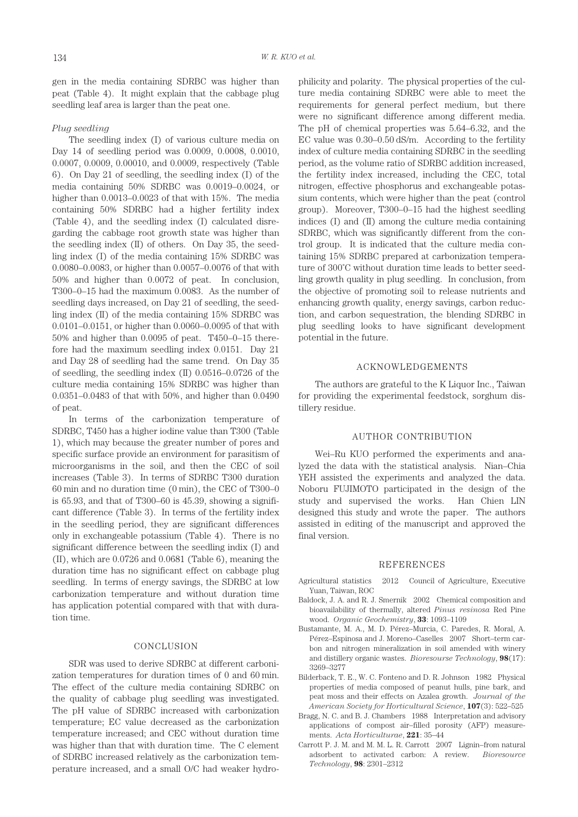gen in the media containing SDRBC was higher than peat (Table 4). It might explain that the cabbage plug seedling leaf area is larger than the peat one.

#### *Plug seedling*

The seedling index (I) of various culture media on Day 14 of seedling period was 0.0009, 0.0008, 0.0010, 0.0007, 0.0009, 0.00010, and 0.0009, respectively (Table 6). On Day 21 of seedling, the seedling index (I) of the media containing 50% SDRBC was 0.0019–0.0024, or higher than 0.0013–0.0023 of that with 15%. The media containing 50% SDRBC had a higher fertility index (Table 4), and the seedling index (I) calculated disregarding the cabbage root growth state was higher than the seedling index  $(II)$  of others. On Day 35, the seedling index (I) of the media containing 15% SDRBC was 0.0080–0.0083, or higher than 0.0057–0.0076 of that with 50% and higher than 0.0072 of peat. In conclusion, T300–0–15 had the maximum 0.0083. As the number of seedling days increased, on Day 21 of seedling, the seedling index (II) of the media containing 15% SDRBC was 0.0101–0.0151, or higher than 0.0060–0.0095 of that with 50% and higher than 0.0095 of peat. T450–0–15 therefore had the maximum seedling index 0.0151. Day 21 and Day 28 of seedling had the same trend. On Day 35 of seedling, the seedling index (II) 0.0516–0.0726 of the culture media containing 15% SDRBC was higher than 0.0351–0.0483 of that with 50%, and higher than 0.0490 of peat.

In terms of the carbonization temperature of SDRBC, T450 has a higher iodine value than T300 (Table 1), which may because the greater number of pores and specific surface provide an environment for parasitism of microorganisms in the soil, and then the CEC of soil increases (Table 3). In terms of SDRBC T300 duration 60 min and no duration time (0 min), the CEC of T300–0 is 65.93, and that of T300–60 is 45.39, showing a significant difference (Table 3). In terms of the fertility index in the seedling period, they are significant differences only in exchangeable potassium (Table 4). There is no significant difference between the seedling indix (I) and (II), which are 0.0726 and 0.0681 (Table 6), meaning the duration time has no significant effect on cabbage plug seedling. In terms of energy savings, the SDRBC at low carbonization temperature and without duration time has application potential compared with that with duration time.

## CONCLUSION

SDR was used to derive SDRBC at different carbonization temperatures for duration times of 0 and 60 min. The effect of the culture media containing SDRBC on the quality of cabbage plug seedling was investigated. The pH value of SDRBC increased with carbonization temperature; EC value decreased as the carbonization temperature increased; and CEC without duration time was higher than that with duration time. The C element of SDRBC increased relatively as the carbonization temperature increased, and a small O/C had weaker hydrophilicity and polarity. The physical properties of the culture media containing SDRBC were able to meet the requirements for general perfect medium, but there were no significant difference among different media. The pH of chemical properties was 5.64–6.32, and the EC value was 0.30–0.50 dS/m. According to the fertility index of culture media containing SDRBC in the seedling period, as the volume ratio of SDRBC addition increased, the fertility index increased, including the CEC, total nitrogen, effective phosphorus and exchangeable potassium contents, which were higher than the peat (control group). Moreover, T300–0–15 had the highest seedling indices (I) and (II) among the culture media containing SDRBC, which was significantly different from the control group. It is indicated that the culture media containing 15% SDRBC prepared at carbonization temperature of 300˚C without duration time leads to better seedling growth quality in plug seedling. In conclusion, from the objective of promoting soil to release nutrients and enhancing growth quality, energy savings, carbon reduction, and carbon sequestration, the blending SDRBC in plug seedling looks to have significant development potential in the future.

#### ACKNOWLEDGEMENTS

The authors are grateful to the K Liquor Inc., Taiwan for providing the experimental feedstock, sorghum distillery residue.

#### AUTHOR CONTRIBUTION

Wei–Ru KUO performed the experiments and analyzed the data with the statistical analysis. Nian–Chia YEH assisted the experiments and analyzed the data. Noboru FUJIMOTO participated in the design of the study and supervised the works. Han Chien LIN designed this study and wrote the paper. The authors assisted in editing of the manuscript and approved the final version.

#### REFERENCES

- Agricultural statistics 2012 Council of Agriculture, Executive Yuan, Taiwan, ROC
- Baldock, J. A. and R. J. Smernik 2002 Chemical composition and bioavailability of thermally, altered *Pinus resinosa* Red Pine wood. *Organic Geochemistry*, **33**: 1093–1109
- Bustamante, M. A., M. D. Pérez–Murcia, C. Paredes, R. Moral, A. Pérez–Espinosa and J. Moreno–Caselles 2007 Short–term carbon and nitrogen mineralization in soil amended with winery and distillery organic wastes. *Bioresourse Technology*, **98**(17): 3269–3277
- Bilderback, T. E., W. C. Fonteno and D. R. Johnson 1982 Physical properties of media composed of peanut hulls, pine bark, and peat moss and their effects on Azalea growth. *Journal of the American Society for Horticultural Science*, **107**(3): 522–525
- Bragg, N. C. and B. J. Chambers 1988 Interpretation and advisory applications of compost air–filled porosity (AFP) measurements. *Acta Horticulturae*, **221**: 35–44
- Carrott P. J. M. and M. M. L. R. Carrott 2007 Lignin–from natural adsorbent to activated carbon: A review. *Bioresource Technology*, **98**: 2301–2312